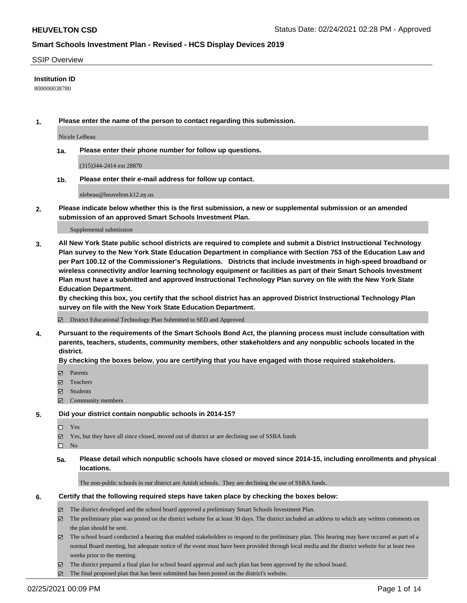### SSIP Overview

### **Institution ID**

800000038780

**1. Please enter the name of the person to contact regarding this submission.**

Nicole LeBeau

**1a. Please enter their phone number for follow up questions.**

(315)344-2414 ext 28870

**1b. Please enter their e-mail address for follow up contact.**

nlebeau@heuvelton.k12.ny.us

**2. Please indicate below whether this is the first submission, a new or supplemental submission or an amended submission of an approved Smart Schools Investment Plan.**

#### Supplemental submission

**3. All New York State public school districts are required to complete and submit a District Instructional Technology Plan survey to the New York State Education Department in compliance with Section 753 of the Education Law and per Part 100.12 of the Commissioner's Regulations. Districts that include investments in high-speed broadband or wireless connectivity and/or learning technology equipment or facilities as part of their Smart Schools Investment Plan must have a submitted and approved Instructional Technology Plan survey on file with the New York State Education Department.** 

**By checking this box, you certify that the school district has an approved District Instructional Technology Plan survey on file with the New York State Education Department.**

District Educational Technology Plan Submitted to SED and Approved

**4. Pursuant to the requirements of the Smart Schools Bond Act, the planning process must include consultation with parents, teachers, students, community members, other stakeholders and any nonpublic schools located in the district.** 

### **By checking the boxes below, you are certifying that you have engaged with those required stakeholders.**

- **Parents**
- Teachers
- Students
- Community members

### **5. Did your district contain nonpublic schools in 2014-15?**

- □ Yes
- Yes, but they have all since closed, moved out of district or are declining use of SSBA funds
- $\hfill \square$  No
- **5a. Please detail which nonpublic schools have closed or moved since 2014-15, including enrollments and physical locations.**

The non-public schools in our district are Amish schools. They are declining the use of SSBA funds.

### **6. Certify that the following required steps have taken place by checking the boxes below:**

- The district developed and the school board approved a preliminary Smart Schools Investment Plan.
- The preliminary plan was posted on the district website for at least 30 days. The district included an address to which any written comments on the plan should be sent.

The school board conducted a hearing that enabled stakeholders to respond to the preliminary plan. This hearing may have occured as part of a normal Board meeting, but adequate notice of the event must have been provided through local media and the district website for at least two weeks prior to the meeting.

The district prepared a final plan for school board approval and such plan has been approved by the school board.

The final proposed plan that has been submitted has been posted on the district's website.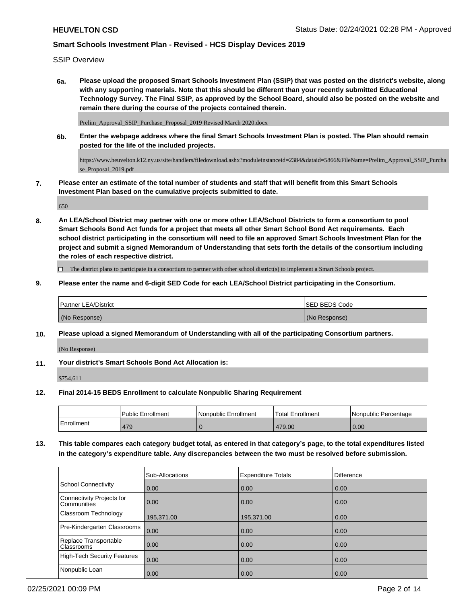SSIP Overview

**6a. Please upload the proposed Smart Schools Investment Plan (SSIP) that was posted on the district's website, along with any supporting materials. Note that this should be different than your recently submitted Educational Technology Survey. The Final SSIP, as approved by the School Board, should also be posted on the website and remain there during the course of the projects contained therein.**

Prelim\_Approval\_SSIP\_Purchase\_Proposal\_2019 Revised March 2020.docx

**6b. Enter the webpage address where the final Smart Schools Investment Plan is posted. The Plan should remain posted for the life of the included projects.**

https://www.heuvelton.k12.ny.us/site/handlers/filedownload.ashx?moduleinstanceid=2384&dataid=5866&FileName=Prelim\_Approval\_SSIP\_Purcha se Proposal 2019.pdf

**7. Please enter an estimate of the total number of students and staff that will benefit from this Smart Schools Investment Plan based on the cumulative projects submitted to date.**

650

**8. An LEA/School District may partner with one or more other LEA/School Districts to form a consortium to pool Smart Schools Bond Act funds for a project that meets all other Smart School Bond Act requirements. Each school district participating in the consortium will need to file an approved Smart Schools Investment Plan for the project and submit a signed Memorandum of Understanding that sets forth the details of the consortium including the roles of each respective district.**

 $\Box$  The district plans to participate in a consortium to partner with other school district(s) to implement a Smart Schools project.

**9. Please enter the name and 6-digit SED Code for each LEA/School District participating in the Consortium.**

| <b>Partner LEA/District</b> | <b>ISED BEDS Code</b> |
|-----------------------------|-----------------------|
| (No Response)               | (No Response)         |

**10. Please upload a signed Memorandum of Understanding with all of the participating Consortium partners.**

(No Response)

**11. Your district's Smart Schools Bond Act Allocation is:**

\$754,611

**12. Final 2014-15 BEDS Enrollment to calculate Nonpublic Sharing Requirement**

|            | <b>Public Enrollment</b> | Nonpublic Enrollment | 'Total Enrollment | l Nonpublic Percentage |
|------------|--------------------------|----------------------|-------------------|------------------------|
| Enrollment | 479                      |                      | 479.00            | 0.00                   |

**13. This table compares each category budget total, as entered in that category's page, to the total expenditures listed in the category's expenditure table. Any discrepancies between the two must be resolved before submission.**

|                                                 | Sub-Allocations | <b>Expenditure Totals</b> | <b>Difference</b> |
|-------------------------------------------------|-----------------|---------------------------|-------------------|
| School Connectivity                             | 0.00            | 0.00                      | 0.00              |
| Connectivity Projects for<br><b>Communities</b> | 0.00            | 0.00                      | 0.00              |
| <b>Classroom Technology</b>                     | 195,371.00      | 195,371.00                | 0.00              |
| Pre-Kindergarten Classrooms                     | 0.00            | 0.00                      | 0.00              |
| Replace Transportable<br>Classrooms             | 0.00            | 0.00                      | 0.00              |
| High-Tech Security Features                     | 0.00            | 0.00                      | 0.00              |
| Nonpublic Loan                                  | 0.00            | 0.00                      | 0.00              |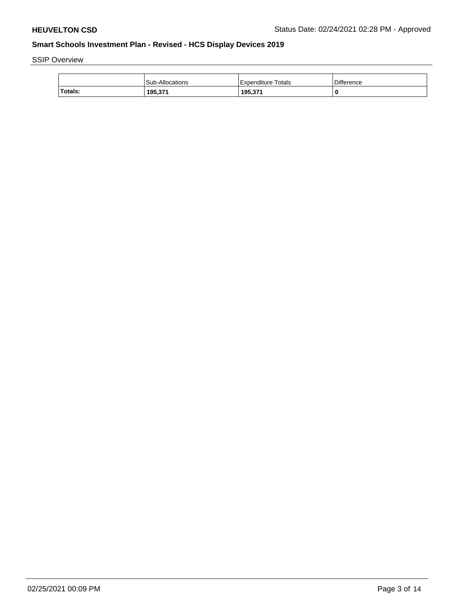SSIP Overview

|         | Sub-Allocations | l Expenditure Totals | Difference |
|---------|-----------------|----------------------|------------|
| Totals: | 195,371         | 195,371              |            |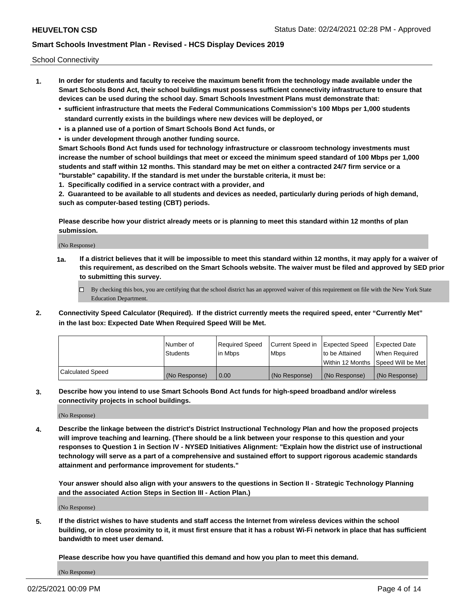School Connectivity

- **1. In order for students and faculty to receive the maximum benefit from the technology made available under the Smart Schools Bond Act, their school buildings must possess sufficient connectivity infrastructure to ensure that devices can be used during the school day. Smart Schools Investment Plans must demonstrate that:**
	- **• sufficient infrastructure that meets the Federal Communications Commission's 100 Mbps per 1,000 students standard currently exists in the buildings where new devices will be deployed, or**
	- **• is a planned use of a portion of Smart Schools Bond Act funds, or**
	- **• is under development through another funding source.**

**Smart Schools Bond Act funds used for technology infrastructure or classroom technology investments must increase the number of school buildings that meet or exceed the minimum speed standard of 100 Mbps per 1,000 students and staff within 12 months. This standard may be met on either a contracted 24/7 firm service or a "burstable" capability. If the standard is met under the burstable criteria, it must be:**

**1. Specifically codified in a service contract with a provider, and**

**2. Guaranteed to be available to all students and devices as needed, particularly during periods of high demand, such as computer-based testing (CBT) periods.**

**Please describe how your district already meets or is planning to meet this standard within 12 months of plan submission.**

(No Response)

**1a. If a district believes that it will be impossible to meet this standard within 12 months, it may apply for a waiver of this requirement, as described on the Smart Schools website. The waiver must be filed and approved by SED prior to submitting this survey.**

 $\Box$  By checking this box, you are certifying that the school district has an approved waiver of this requirement on file with the New York State Education Department.

**2. Connectivity Speed Calculator (Required). If the district currently meets the required speed, enter "Currently Met" in the last box: Expected Date When Required Speed Will be Met.**

|                  | l Number of     | Required Speed | Current Speed in | Expected Speed | Expected Date                        |
|------------------|-----------------|----------------|------------------|----------------|--------------------------------------|
|                  | <b>Students</b> | In Mbps        | <b>Mbps</b>      | to be Attained | When Required                        |
|                  |                 |                |                  |                | Within 12 Months 1Speed Will be Met1 |
| Calculated Speed | (No Response)   | 0.00           | (No Response)    | (No Response)  | l (No Response)                      |

**3. Describe how you intend to use Smart Schools Bond Act funds for high-speed broadband and/or wireless connectivity projects in school buildings.**

(No Response)

**4. Describe the linkage between the district's District Instructional Technology Plan and how the proposed projects will improve teaching and learning. (There should be a link between your response to this question and your responses to Question 1 in Section IV - NYSED Initiatives Alignment: "Explain how the district use of instructional technology will serve as a part of a comprehensive and sustained effort to support rigorous academic standards attainment and performance improvement for students."** 

**Your answer should also align with your answers to the questions in Section II - Strategic Technology Planning and the associated Action Steps in Section III - Action Plan.)**

(No Response)

**5. If the district wishes to have students and staff access the Internet from wireless devices within the school building, or in close proximity to it, it must first ensure that it has a robust Wi-Fi network in place that has sufficient bandwidth to meet user demand.**

**Please describe how you have quantified this demand and how you plan to meet this demand.**

(No Response)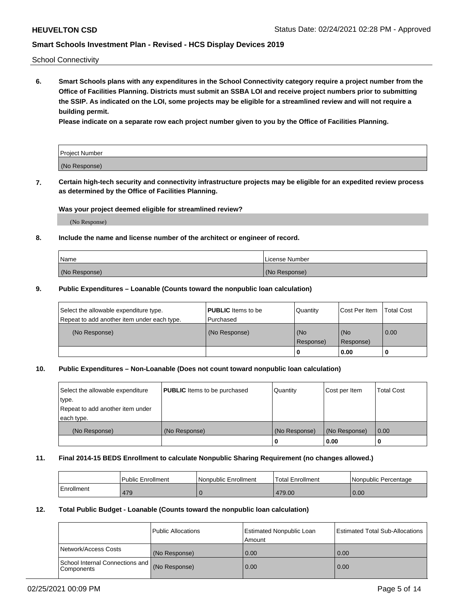School Connectivity

**6. Smart Schools plans with any expenditures in the School Connectivity category require a project number from the Office of Facilities Planning. Districts must submit an SSBA LOI and receive project numbers prior to submitting the SSIP. As indicated on the LOI, some projects may be eligible for a streamlined review and will not require a building permit.**

**Please indicate on a separate row each project number given to you by the Office of Facilities Planning.**

| Project Number |  |
|----------------|--|
| (No Response)  |  |

**7. Certain high-tech security and connectivity infrastructure projects may be eligible for an expedited review process as determined by the Office of Facilities Planning.**

### **Was your project deemed eligible for streamlined review?**

(No Response)

### **8. Include the name and license number of the architect or engineer of record.**

| Name          | License Number |
|---------------|----------------|
| (No Response) | (No Response)  |

### **9. Public Expenditures – Loanable (Counts toward the nonpublic loan calculation)**

| Select the allowable expenditure type.<br>Repeat to add another item under each type. | <b>PUBLIC</b> Items to be<br>l Purchased | Quantity         | l Cost Per Item  | <b>Total Cost</b> |
|---------------------------------------------------------------------------------------|------------------------------------------|------------------|------------------|-------------------|
| (No Response)                                                                         | (No Response)                            | (No<br>Response) | (No<br>Response) | 0.00              |
|                                                                                       |                                          | 0                | 0.00             |                   |

## **10. Public Expenditures – Non-Loanable (Does not count toward nonpublic loan calculation)**

| Select the allowable expenditure<br>type.<br>Repeat to add another item under<br>each type. | <b>PUBLIC</b> Items to be purchased | Quantity      | Cost per Item | <b>Total Cost</b> |
|---------------------------------------------------------------------------------------------|-------------------------------------|---------------|---------------|-------------------|
| (No Response)                                                                               | (No Response)                       | (No Response) | (No Response) | 0.00              |
|                                                                                             |                                     |               | 0.00          |                   |

### **11. Final 2014-15 BEDS Enrollment to calculate Nonpublic Sharing Requirement (no changes allowed.)**

|            | Public Enrollment | Nonpublic Enrollment | 'Total Enrollment | l Nonpublic Percentage |
|------------|-------------------|----------------------|-------------------|------------------------|
| Enrollment | 479               |                      | 479.00            | 0.00                   |

### **12. Total Public Budget - Loanable (Counts toward the nonpublic loan calculation)**

|                                                      | Public Allocations | <b>Estimated Nonpublic Loan</b><br>Amount | Estimated Total Sub-Allocations |
|------------------------------------------------------|--------------------|-------------------------------------------|---------------------------------|
| Network/Access Costs                                 | (No Response)      | 0.00                                      | 0.00                            |
| School Internal Connections and<br><b>Components</b> | (No Response)      | 0.00                                      | 0.00                            |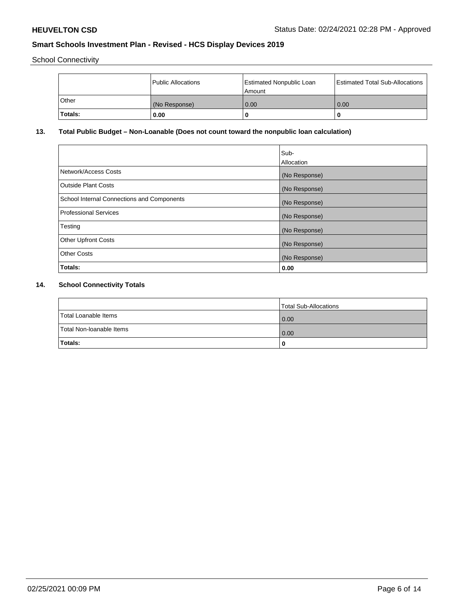School Connectivity

|                | Public Allocations | <b>Estimated Nonpublic Loan</b><br>l Amount | <b>Estimated Total Sub-Allocations</b> |
|----------------|--------------------|---------------------------------------------|----------------------------------------|
| l Other        | (No Response)      | 0.00                                        | 0.00                                   |
| <b>Totals:</b> | 0.00               | 0                                           |                                        |

## **13. Total Public Budget – Non-Loanable (Does not count toward the nonpublic loan calculation)**

| Sub-<br>Allocation |
|--------------------|
| (No Response)      |
| (No Response)      |
| (No Response)      |
| (No Response)      |
| (No Response)      |
| (No Response)      |
| (No Response)      |
| 0.00               |
|                    |

## **14. School Connectivity Totals**

|                          | Total Sub-Allocations |
|--------------------------|-----------------------|
| Total Loanable Items     | 0.00                  |
| Total Non-Ioanable Items | 0.00                  |
| Totals:                  | 0                     |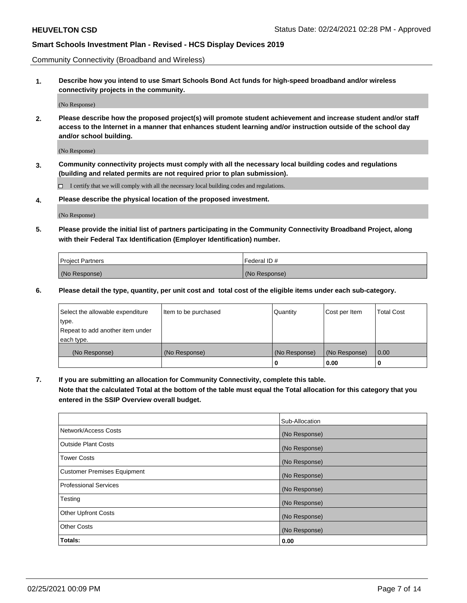Community Connectivity (Broadband and Wireless)

**1. Describe how you intend to use Smart Schools Bond Act funds for high-speed broadband and/or wireless connectivity projects in the community.**

(No Response)

**2. Please describe how the proposed project(s) will promote student achievement and increase student and/or staff access to the Internet in a manner that enhances student learning and/or instruction outside of the school day and/or school building.**

(No Response)

**3. Community connectivity projects must comply with all the necessary local building codes and regulations (building and related permits are not required prior to plan submission).**

 $\Box$  I certify that we will comply with all the necessary local building codes and regulations.

**4. Please describe the physical location of the proposed investment.**

(No Response)

**5. Please provide the initial list of partners participating in the Community Connectivity Broadband Project, along with their Federal Tax Identification (Employer Identification) number.**

| <b>Project Partners</b> | l Federal ID # |
|-------------------------|----------------|
| (No Response)           | (No Response)  |

**6. Please detail the type, quantity, per unit cost and total cost of the eligible items under each sub-category.**

| Select the allowable expenditure | Item to be purchased | Quantity      | Cost per Item | <b>Total Cost</b> |
|----------------------------------|----------------------|---------------|---------------|-------------------|
| type.                            |                      |               |               |                   |
| Repeat to add another item under |                      |               |               |                   |
| each type.                       |                      |               |               |                   |
| (No Response)                    | (No Response)        | (No Response) | (No Response) | 0.00              |
|                                  |                      | U             | 0.00          | -0                |

**7. If you are submitting an allocation for Community Connectivity, complete this table.**

**Note that the calculated Total at the bottom of the table must equal the Total allocation for this category that you entered in the SSIP Overview overall budget.**

|                                    | Sub-Allocation |
|------------------------------------|----------------|
| Network/Access Costs               | (No Response)  |
| Outside Plant Costs                | (No Response)  |
| <b>Tower Costs</b>                 | (No Response)  |
| <b>Customer Premises Equipment</b> | (No Response)  |
| <b>Professional Services</b>       | (No Response)  |
| Testing                            | (No Response)  |
| <b>Other Upfront Costs</b>         | (No Response)  |
| <b>Other Costs</b>                 | (No Response)  |
| Totals:                            | 0.00           |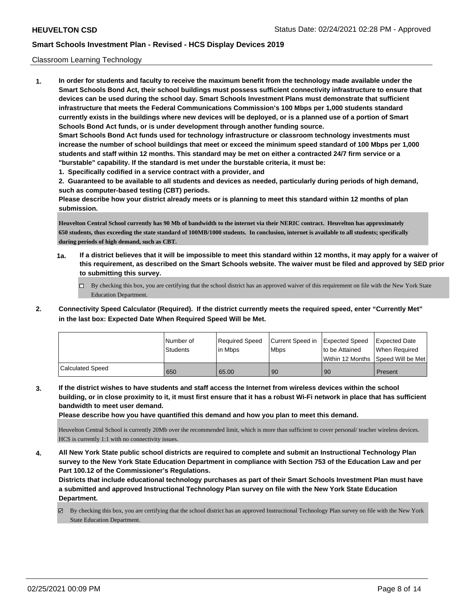### Classroom Learning Technology

**1. In order for students and faculty to receive the maximum benefit from the technology made available under the Smart Schools Bond Act, their school buildings must possess sufficient connectivity infrastructure to ensure that devices can be used during the school day. Smart Schools Investment Plans must demonstrate that sufficient infrastructure that meets the Federal Communications Commission's 100 Mbps per 1,000 students standard currently exists in the buildings where new devices will be deployed, or is a planned use of a portion of Smart Schools Bond Act funds, or is under development through another funding source. Smart Schools Bond Act funds used for technology infrastructure or classroom technology investments must increase the number of school buildings that meet or exceed the minimum speed standard of 100 Mbps per 1,000 students and staff within 12 months. This standard may be met on either a contracted 24/7 firm service or a "burstable" capability. If the standard is met under the burstable criteria, it must be:**

**1. Specifically codified in a service contract with a provider, and**

**2. Guaranteed to be available to all students and devices as needed, particularly during periods of high demand, such as computer-based testing (CBT) periods.**

**Please describe how your district already meets or is planning to meet this standard within 12 months of plan submission.**

**Heuvelton Central School currently has 90 Mb of bandwidth to the internet via their NERIC contract. Heuvelton has approximately 650 students, thus exceeding the state standard of 100MB/1000 students. In conclusion, internet is available to all students; specifically during periods of high demand, such as CBT.**

- **1a. If a district believes that it will be impossible to meet this standard within 12 months, it may apply for a waiver of this requirement, as described on the Smart Schools website. The waiver must be filed and approved by SED prior to submitting this survey.**
	- $\Box$  By checking this box, you are certifying that the school district has an approved waiver of this requirement on file with the New York State Education Department.
- **2. Connectivity Speed Calculator (Required). If the district currently meets the required speed, enter "Currently Met" in the last box: Expected Date When Required Speed Will be Met.**

|                         | l Number of | Required Speed | Current Speed in | <b>Expected Speed</b> | Expected Date                           |
|-------------------------|-------------|----------------|------------------|-----------------------|-----------------------------------------|
|                         | Students    | l in Mbps      | <b>Mbps</b>      | to be Attained        | When Required                           |
|                         |             |                |                  |                       | l Within 12 Months ISpeed Will be Met l |
| <b>Calculated Speed</b> | 650         | 65.00          | 90               | 90                    | Present                                 |

**3. If the district wishes to have students and staff access the Internet from wireless devices within the school building, or in close proximity to it, it must first ensure that it has a robust Wi-Fi network in place that has sufficient bandwidth to meet user demand.**

**Please describe how you have quantified this demand and how you plan to meet this demand.**

Heuvelton Central School is currently 20Mb over the recommended limit, which is more than sufficient to cover personal/ teacher wireless devices. HCS is currently 1:1 with no connectivity issues.

**4. All New York State public school districts are required to complete and submit an Instructional Technology Plan survey to the New York State Education Department in compliance with Section 753 of the Education Law and per Part 100.12 of the Commissioner's Regulations.**

**Districts that include educational technology purchases as part of their Smart Schools Investment Plan must have a submitted and approved Instructional Technology Plan survey on file with the New York State Education Department.**

By checking this box, you are certifying that the school district has an approved Instructional Technology Plan survey on file with the New York State Education Department.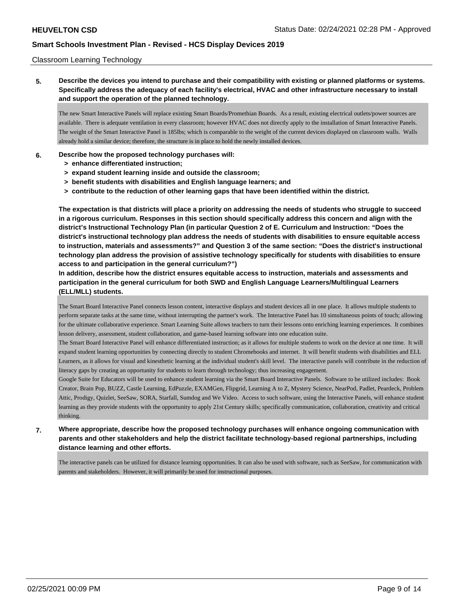### Classroom Learning Technology

**5. Describe the devices you intend to purchase and their compatibility with existing or planned platforms or systems. Specifically address the adequacy of each facility's electrical, HVAC and other infrastructure necessary to install and support the operation of the planned technology.**

The new Smart Interactive Panels will replace existing Smart Boards/Promethian Boards. As a result, existing electrical outlets/power sources are available. There is adequate ventilation in every classroom; however HVAC does not directly apply to the installation of Smart Interactive Panels. The weight of the Smart Interactive Panel is 185lbs; which is comparable to the weight of the current devices displayed on classroom walls. Walls already hold a similar device; therefore, the structure is in place to hold the newly installed devices.

### **6. Describe how the proposed technology purchases will:**

- **> enhance differentiated instruction;**
- **> expand student learning inside and outside the classroom;**
- **> benefit students with disabilities and English language learners; and**
- **> contribute to the reduction of other learning gaps that have been identified within the district.**

**The expectation is that districts will place a priority on addressing the needs of students who struggle to succeed in a rigorous curriculum. Responses in this section should specifically address this concern and align with the district's Instructional Technology Plan (in particular Question 2 of E. Curriculum and Instruction: "Does the district's instructional technology plan address the needs of students with disabilities to ensure equitable access to instruction, materials and assessments?" and Question 3 of the same section: "Does the district's instructional technology plan address the provision of assistive technology specifically for students with disabilities to ensure access to and participation in the general curriculum?")**

**In addition, describe how the district ensures equitable access to instruction, materials and assessments and participation in the general curriculum for both SWD and English Language Learners/Multilingual Learners (ELL/MLL) students.**

The Smart Board Interactive Panel connects lesson content, interactive displays and student devices all in one place. It allows multiple students to perform separate tasks at the same time, without interrupting the partner's work. The Interactive Panel has 10 simultaneous points of touch; allowing for the ultimate collaborative experience. Smart Learning Suite allows teachers to turn their lessons onto enriching learning experiences. It combines lesson delivery, assessment, student collaboration, and game-based learning software into one education suite.

The Smart Board Interactive Panel will enhance differentiated instruction; as it allows for multiple students to work on the device at one time. It will expand student learning opportunities by connecting directly to student Chromebooks and internet. It will benefit students with disabilities and ELL Learners, as it allows for visual and kinesthetic learning at the individual student's skill level. The interactive panels will contribute in the reduction of literacy gaps by creating an opportunity for students to learn through technology; thus increasing engagement.

Google Suite for Educators will be used to enhance student learning via the Smart Board Interactive Panels. Software to be utilized includes: Book Creator, Brain Pop, BUZZ, Castle Learning, EdPuzzle, EXAMGen, Flipgrid, Learning A to Z, Mystery Science, NearPod, Padlet, Peardeck, Problem Attic, Prodigy, Quizlet, SeeSaw, SORA, Starfall, Sumdog and We Video. Access to such software, using the Interactive Panels, will enhance student learning as they provide students with the opportunity to apply 21st Century skills; specifically communication, collaboration, creativity and critical thinking.

## **7. Where appropriate, describe how the proposed technology purchases will enhance ongoing communication with parents and other stakeholders and help the district facilitate technology-based regional partnerships, including distance learning and other efforts.**

The interactive panels can be utilized for distance learning opportunities. It can also be used with software, such as SeeSaw, for communication with parents and stakeholders. However, it will primarily be used for instructional purposes.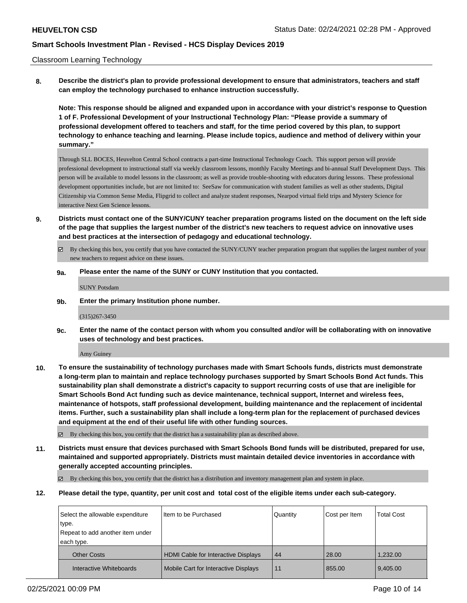### Classroom Learning Technology

**8. Describe the district's plan to provide professional development to ensure that administrators, teachers and staff can employ the technology purchased to enhance instruction successfully.**

**Note: This response should be aligned and expanded upon in accordance with your district's response to Question 1 of F. Professional Development of your Instructional Technology Plan: "Please provide a summary of professional development offered to teachers and staff, for the time period covered by this plan, to support technology to enhance teaching and learning. Please include topics, audience and method of delivery within your summary."**

Through SLL BOCES, Heuvelton Central School contracts a part-time Instructional Technology Coach. This support person will provide professional development to instructional staff via weekly classroom lessons, monthly Faculty Meetings and bi-annual Staff Development Days. This person will be available to model lessons in the classroom; as well as provide trouble-shooting with educators during lessons. These professional development opportunities include, but are not limited to: SeeSaw for communication with student families as well as other students, Digital Citizenship via Common Sense Media, Flipgrid to collect and analyze student responses, Nearpod virtual field trips and Mystery Science for interactive Next Gen Science lessons.

- **9. Districts must contact one of the SUNY/CUNY teacher preparation programs listed on the document on the left side of the page that supplies the largest number of the district's new teachers to request advice on innovative uses and best practices at the intersection of pedagogy and educational technology.**
	- $\boxtimes$  By checking this box, you certify that you have contacted the SUNY/CUNY teacher preparation program that supplies the largest number of your new teachers to request advice on these issues.
	- **9a. Please enter the name of the SUNY or CUNY Institution that you contacted.**

SUNY Potsdam

**9b. Enter the primary Institution phone number.**

(315)267-3450

**9c. Enter the name of the contact person with whom you consulted and/or will be collaborating with on innovative uses of technology and best practices.**

Amy Guiney

**10. To ensure the sustainability of technology purchases made with Smart Schools funds, districts must demonstrate a long-term plan to maintain and replace technology purchases supported by Smart Schools Bond Act funds. This sustainability plan shall demonstrate a district's capacity to support recurring costs of use that are ineligible for Smart Schools Bond Act funding such as device maintenance, technical support, Internet and wireless fees, maintenance of hotspots, staff professional development, building maintenance and the replacement of incidental items. Further, such a sustainability plan shall include a long-term plan for the replacement of purchased devices and equipment at the end of their useful life with other funding sources.**

By checking this box, you certify that the district has a sustainability plan as described above.

**11. Districts must ensure that devices purchased with Smart Schools Bond funds will be distributed, prepared for use, maintained and supported appropriately. Districts must maintain detailed device inventories in accordance with generally accepted accounting principles.**

 $\boxtimes$  By checking this box, you certify that the district has a distribution and inventory management plan and system in place.

**12. Please detail the type, quantity, per unit cost and total cost of the eligible items under each sub-category.**

| Select the allowable expenditure | I Item to be Purchased                     | Quantity | Cost per Item | <b>Total Cost</b> |
|----------------------------------|--------------------------------------------|----------|---------------|-------------------|
| type.                            |                                            |          |               |                   |
| Repeat to add another item under |                                            |          |               |                   |
| each type.                       |                                            |          |               |                   |
| <b>Other Costs</b>               | <b>HDMI Cable for Interactive Displays</b> | 44       | 28.00         | 1.232.00          |
| Interactive Whiteboards          | Mobile Cart for Interactive Displays       | 11       | 855.00        | 9,405.00          |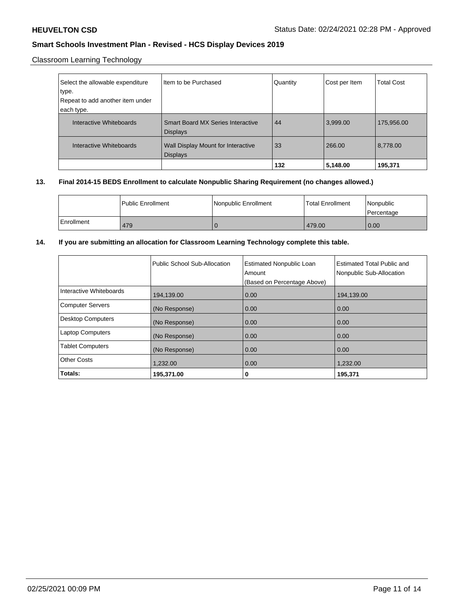Classroom Learning Technology

| Select the allowable expenditure<br>type.<br>Repeat to add another item under | Iltem to be Purchased                    | Quantity | Cost per Item | <b>Total Cost</b> |
|-------------------------------------------------------------------------------|------------------------------------------|----------|---------------|-------------------|
|                                                                               |                                          |          |               |                   |
| each type.                                                                    |                                          |          |               |                   |
| Interactive Whiteboards                                                       | <b>Smart Board MX Series Interactive</b> | 44       | 3,999.00      | 175,956.00        |
|                                                                               | <b>Displays</b>                          |          |               |                   |
| Interactive Whiteboards                                                       | Wall Display Mount for Interactive       | 33       | 266.00        | 8,778.00          |
|                                                                               | <b>Displays</b>                          |          |               |                   |
|                                                                               |                                          | 132      | 5,148.00      | 195,371           |

### **13. Final 2014-15 BEDS Enrollment to calculate Nonpublic Sharing Requirement (no changes allowed.)**

|            | l Public Enrollment | Nonpublic Enrollment | Total Enrollment | l Nonpublic<br>l Percentage |
|------------|---------------------|----------------------|------------------|-----------------------------|
| Enrollment | 479                 |                      | 479.00           | 0.00                        |

### **14. If you are submitting an allocation for Classroom Learning Technology complete this table.**

|                          | Public School Sub-Allocation | <b>Estimated Nonpublic Loan</b><br>Amount<br>(Based on Percentage Above) | <b>Estimated Total Public and</b><br>Nonpublic Sub-Allocation |
|--------------------------|------------------------------|--------------------------------------------------------------------------|---------------------------------------------------------------|
| Interactive Whiteboards  | 194,139.00                   | 0.00                                                                     | 194,139.00                                                    |
| <b>Computer Servers</b>  | (No Response)                | 0.00                                                                     | 0.00                                                          |
| <b>Desktop Computers</b> | (No Response)                | 0.00                                                                     | 0.00                                                          |
| <b>Laptop Computers</b>  | (No Response)                | 0.00                                                                     | 0.00                                                          |
| <b>Tablet Computers</b>  | (No Response)                | 0.00                                                                     | 0.00                                                          |
| <b>Other Costs</b>       | 1,232.00                     | 0.00                                                                     | 1,232.00                                                      |
| Totals:                  | 195,371.00                   | 0                                                                        | 195,371                                                       |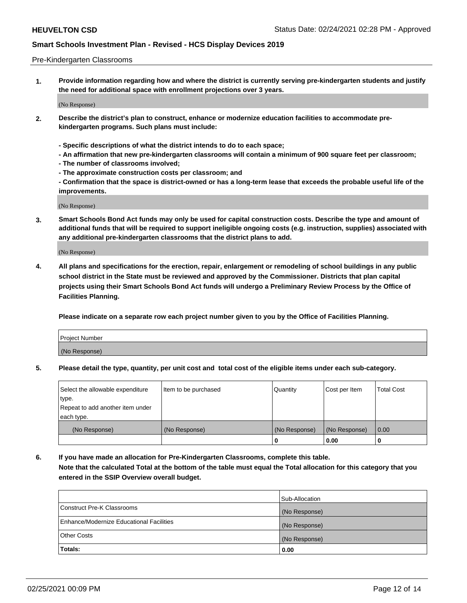### Pre-Kindergarten Classrooms

**1. Provide information regarding how and where the district is currently serving pre-kindergarten students and justify the need for additional space with enrollment projections over 3 years.**

(No Response)

- **2. Describe the district's plan to construct, enhance or modernize education facilities to accommodate prekindergarten programs. Such plans must include:**
	- **Specific descriptions of what the district intends to do to each space;**
	- **An affirmation that new pre-kindergarten classrooms will contain a minimum of 900 square feet per classroom;**
	- **The number of classrooms involved;**
	- **The approximate construction costs per classroom; and**
	- **Confirmation that the space is district-owned or has a long-term lease that exceeds the probable useful life of the improvements.**

(No Response)

**3. Smart Schools Bond Act funds may only be used for capital construction costs. Describe the type and amount of additional funds that will be required to support ineligible ongoing costs (e.g. instruction, supplies) associated with any additional pre-kindergarten classrooms that the district plans to add.**

(No Response)

**4. All plans and specifications for the erection, repair, enlargement or remodeling of school buildings in any public school district in the State must be reviewed and approved by the Commissioner. Districts that plan capital projects using their Smart Schools Bond Act funds will undergo a Preliminary Review Process by the Office of Facilities Planning.**

**Please indicate on a separate row each project number given to you by the Office of Facilities Planning.**

| Project Number |  |
|----------------|--|
| (No Response)  |  |
|                |  |

**5. Please detail the type, quantity, per unit cost and total cost of the eligible items under each sub-category.**

| Select the allowable expenditure | Item to be purchased | Quantity      | Cost per Item | <b>Total Cost</b> |
|----------------------------------|----------------------|---------------|---------------|-------------------|
| type.                            |                      |               |               |                   |
| Repeat to add another item under |                      |               |               |                   |
| each type.                       |                      |               |               |                   |
| (No Response)                    | (No Response)        | (No Response) | (No Response) | 0.00              |
|                                  |                      | U             | 0.00          |                   |

**6. If you have made an allocation for Pre-Kindergarten Classrooms, complete this table. Note that the calculated Total at the bottom of the table must equal the Total allocation for this category that you entered in the SSIP Overview overall budget.**

| Totals:                                  | 0.00           |
|------------------------------------------|----------------|
| <b>Other Costs</b>                       | (No Response)  |
| Enhance/Modernize Educational Facilities | (No Response)  |
| Construct Pre-K Classrooms               | (No Response)  |
|                                          | Sub-Allocation |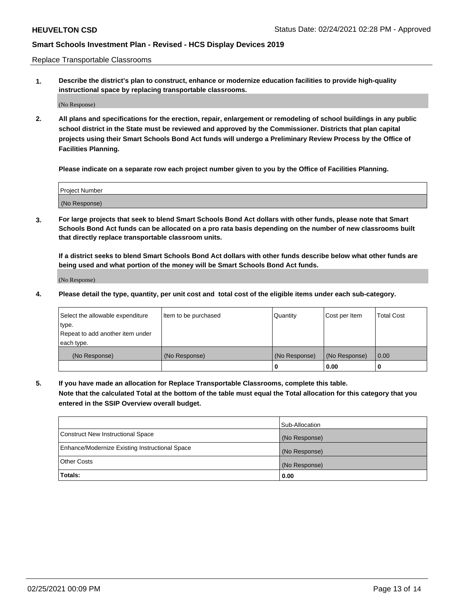Replace Transportable Classrooms

**1. Describe the district's plan to construct, enhance or modernize education facilities to provide high-quality instructional space by replacing transportable classrooms.**

(No Response)

**2. All plans and specifications for the erection, repair, enlargement or remodeling of school buildings in any public school district in the State must be reviewed and approved by the Commissioner. Districts that plan capital projects using their Smart Schools Bond Act funds will undergo a Preliminary Review Process by the Office of Facilities Planning.**

**Please indicate on a separate row each project number given to you by the Office of Facilities Planning.**

| Project Number |  |
|----------------|--|
|                |  |
|                |  |
|                |  |
|                |  |
| (No Response)  |  |
|                |  |
|                |  |
|                |  |

**3. For large projects that seek to blend Smart Schools Bond Act dollars with other funds, please note that Smart Schools Bond Act funds can be allocated on a pro rata basis depending on the number of new classrooms built that directly replace transportable classroom units.**

**If a district seeks to blend Smart Schools Bond Act dollars with other funds describe below what other funds are being used and what portion of the money will be Smart Schools Bond Act funds.**

(No Response)

**4. Please detail the type, quantity, per unit cost and total cost of the eligible items under each sub-category.**

| Select the allowable expenditure | Item to be purchased | Quantity      | Cost per Item | Total Cost |
|----------------------------------|----------------------|---------------|---------------|------------|
| ∣type.                           |                      |               |               |            |
| Repeat to add another item under |                      |               |               |            |
| each type.                       |                      |               |               |            |
| (No Response)                    | (No Response)        | (No Response) | (No Response) | 0.00       |
|                                  |                      | u             | 0.00          |            |

**5. If you have made an allocation for Replace Transportable Classrooms, complete this table. Note that the calculated Total at the bottom of the table must equal the Total allocation for this category that you entered in the SSIP Overview overall budget.**

|                                                | Sub-Allocation |
|------------------------------------------------|----------------|
| Construct New Instructional Space              | (No Response)  |
| Enhance/Modernize Existing Instructional Space | (No Response)  |
| Other Costs                                    | (No Response)  |
| Totals:                                        | 0.00           |